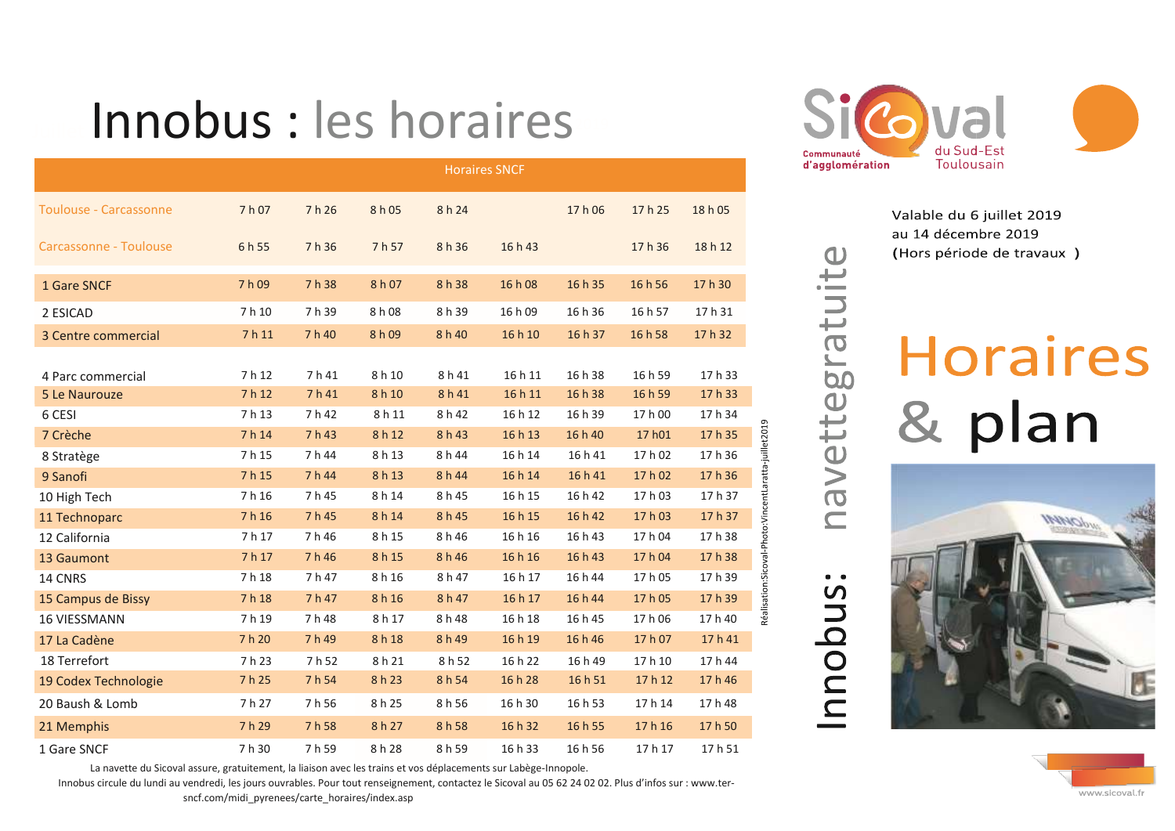## Innobus : les horaires

|                               | <b>Horaires SNCF</b> |        |        |        |         |         |         |         |  |
|-------------------------------|----------------------|--------|--------|--------|---------|---------|---------|---------|--|
| <b>Toulouse - Carcassonne</b> | 7 h 07               | 7 h 26 | 8 h 05 | 8h 24  |         | 17 h 06 | 17 h 25 | 18 h 05 |  |
| Carcassonne - Toulouse        | 6 h 55               | 7h 36  | 7h 57  | 8 h 36 | 16 h 43 |         | 17 h 36 | 18 h 12 |  |
| 1 Gare SNCF                   | 7 h 09               | 7 h 38 | 8 h 07 | 8 h 38 | 16 h 08 | 16 h 35 | 16 h 56 | 17 h 30 |  |
| 2 ESICAD                      | 7 h 10               | 7 h 39 | 8 h 08 | 8h 39  | 16 h 09 | 16 h 36 | 16 h 57 | 17 h 31 |  |
| 3 Centre commercial           | 7 h 11               | 7 h 40 | 8 h 09 | 8 h 40 | 16 h 10 | 16 h 37 | 16 h 58 | 17 h 32 |  |
| 4 Parc commercial             | 7 h 12               | 7h41   | 8 h 10 | 8 h 41 | 16 h 11 | 16 h 38 | 16 h 59 | 17 h 33 |  |
| 5 Le Naurouze                 | 7 h 12               | 7 h 41 | 8 h 10 | 8 h 41 | 16 h 11 | 16 h 38 | 16 h 59 | 17 h 33 |  |
| 6 CESI                        | 7 h 13               | 7 h 42 | 8 h 11 | 8 h 42 | 16 h 12 | 16 h 39 | 17 h 00 | 17 h 34 |  |
| 7 Crèche                      | 7 h 14               | 7 h 43 | 8 h 12 | 8 h 43 | 16 h 13 | 16 h 40 | 17 h01  | 17 h 35 |  |
| 8 Stratège                    | 7 h 15               | 7 h 44 | 8 h 13 | 8 h 44 | 16 h 14 | 16 h 41 | 17 h 02 | 17 h 36 |  |
| 9 Sanofi                      | 7 h 15               | 7 h 44 | 8 h 13 | 8 h 44 | 16 h 14 | 16 h 41 | 17 h 02 | 17 h 36 |  |
| 10 High Tech                  | 7 h 16               | 7 h 45 | 8 h 14 | 8 h 45 | 16 h 15 | 16 h 42 | 17 h 03 | 17 h 37 |  |
| 11 Technoparc                 | 7 h 16               | 7 h 45 | 8 h 14 | 8 h 45 | 16 h 15 | 16 h 42 | 17 h 03 | 17 h 37 |  |
| 12 California                 | 7 h 17               | 7h46   | 8 h 15 | 8h46   | 16 h 16 | 16 h 43 | 17 h 04 | 17 h 38 |  |
| 13 Gaumont                    | 7 h 17               | 7h46   | 8 h 15 | 8h46   | 16 h 16 | 16 h 43 | 17 h 04 | 17 h 38 |  |
| 14 CNRS                       | 7 h 18               | 7 h 47 | 8 h 16 | 8 h 47 | 16 h 17 | 16 h 44 | 17 h 05 | 17 h 39 |  |
| 15 Campus de Bissy            | 7 h 18               | 7 h 47 | 8h16   | 8 h 47 | 16 h 17 | 16 h 44 | 17h05   | 17 h 39 |  |
| <b>16 VIESSMANN</b>           | 7h19                 | 7h48   | 8 h 17 | 8 h 48 | 16 h 18 | 16 h 45 | 17h06   | 17 h 40 |  |
| 17 La Cadène                  | 7 h 20               | 7 h 49 | 8 h 18 | 8 h 49 | 16 h 19 | 16 h 46 | 17 h 07 | 17h41   |  |
| 18 Terrefort                  | 7 h 23               | 7 h 52 | 8 h 21 | 8 h 52 | 16 h 22 | 16 h 49 | 17 h 10 | 17 h 44 |  |
| 19 Codex Technologie          | 7 h 25               | 7 h 54 | 8 h 23 | 8 h 54 | 16 h 28 | 16 h 51 | 17 h 12 | 17 h 46 |  |
| 20 Baush & Lomb               | 7h 27                | 7h 56  | 8 h 25 | 8h56   | 16 h 30 | 16 h 53 | 17 h 14 | 17 h 48 |  |
| 21 Memphis                    | 7 h 29               | 7 h 58 | 8 h 27 | 8 h 58 | 16 h 32 | 16 h 55 | 17 h 16 | 17 h 50 |  |
| 1 Gare SNCF                   | 7 h 30               | 7h 59  | 8 h 28 | 8 h 59 | 16 h 33 | 16 h 56 | 17 h 17 | 17h 51  |  |

La navette du Sicoval assure, gratuitement, la liaison avec les trains et vos déplacements sur Labège-Innopole.

Innobus circule du lundi au vendredi, les jours ouvrables. Pour tout renseignement, contactez le Sicoval au 05 62 24 02 02. Plus d'infos sur : www.ter-





## Valable du 6 juillet 2019 au 14 décembre 2019 (Hors période de travaux)

 $\bigcirc$ 

avettegratuit

 $\overline{C}$ 

andpus

## **Horaires** & plan



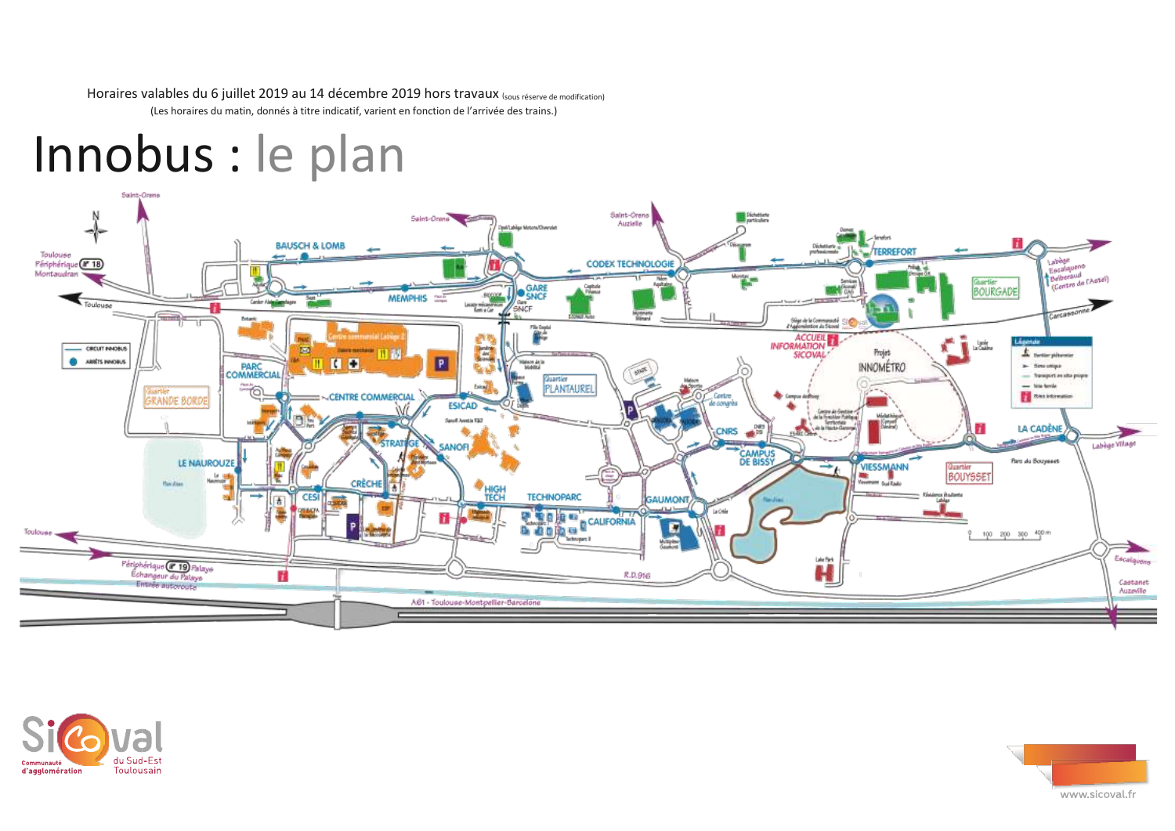Horaires valables du 6 juillet 2019 au 14 décembre 2019 hors travaux (sous réserve de modification) (Les horaires du matin, donnés à titre indicatif, varient en fonction de l'arrivée des trains.)

## Innobus : le plan